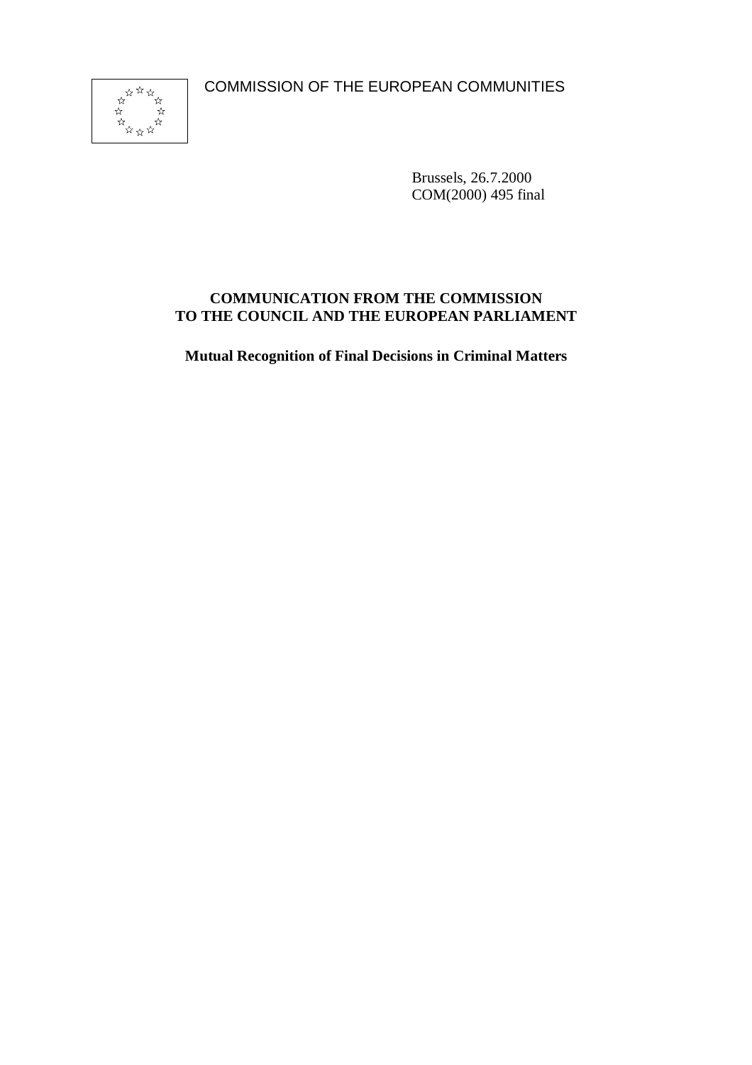COMMISSION OF THE EUROPEAN COMMUNITIES



Brussels, 26.7.2000 COM(2000) 495 final

## **COMMUNICATION FROM THE COMMISSION TO THE COUNCIL AND THE EUROPEAN PARLIAMENT**

**Mutual Recognition of Final Decisions in Criminal Matters**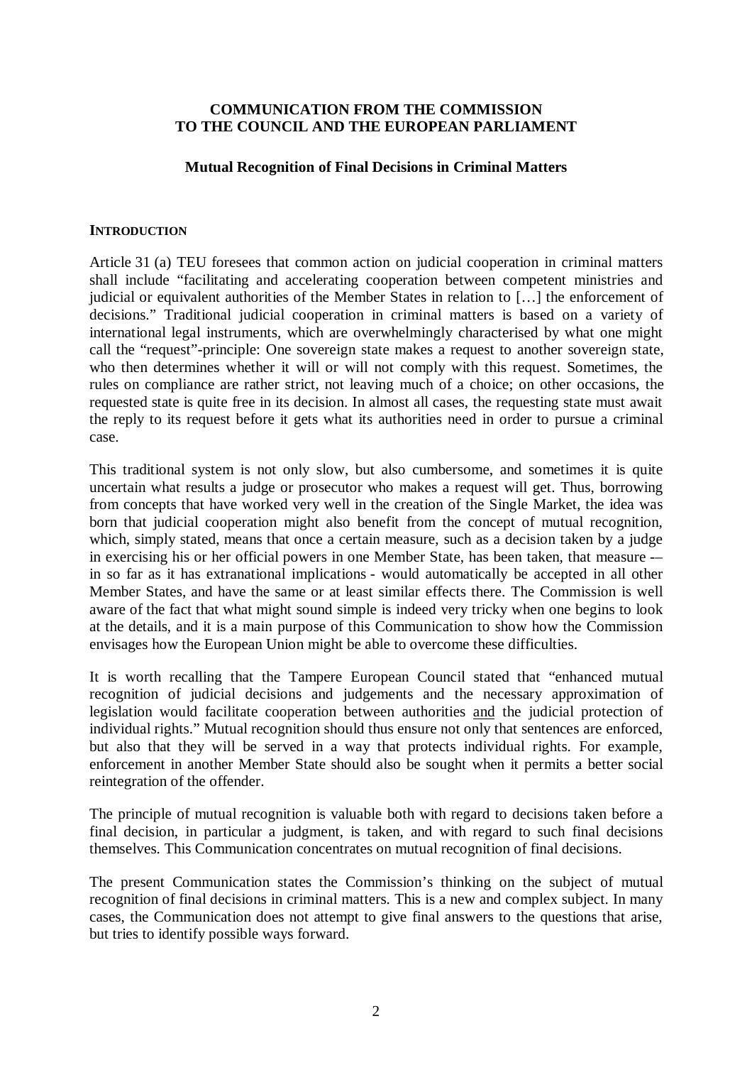### **COMMUNICATION FROM THE COMMISSION TO THE COUNCIL AND THE EUROPEAN PARLIAMENT**

#### **Mutual Recognition of Final Decisions in Criminal Matters**

#### **INTRODUCTION**

Article 31 (a) TEU foresees that common action on judicial cooperation in criminal matters shall include "facilitating and accelerating cooperation between competent ministries and judicial or equivalent authorities of the Member States in relation to […] the enforcement of decisions." Traditional judicial cooperation in criminal matters is based on a variety of international legal instruments, which are overwhelmingly characterised by what one might call the "request"-principle: One sovereign state makes a request to another sovereign state, who then determines whether it will or will not comply with this request. Sometimes, the rules on compliance are rather strict, not leaving much of a choice; on other occasions, the requested state is quite free in its decision. In almost all cases, the requesting state must await the reply to its request before it gets what its authorities need in order to pursue a criminal case.

This traditional system is not only slow, but also cumbersome, and sometimes it is quite uncertain what results a judge or prosecutor who makes a request will get. Thus, borrowing from concepts that have worked very well in the creation of the Single Market, the idea was born that judicial cooperation might also benefit from the concept of mutual recognition, which, simply stated, means that once a certain measure, such as a decision taken by a judge in exercising his or her official powers in one Member State, has been taken, that measure -– in so far as it has extranational implications - would automatically be accepted in all other Member States, and have the same or at least similar effects there. The Commission is well aware of the fact that what might sound simple is indeed very tricky when one begins to look at the details, and it is a main purpose of this Communication to show how the Commission envisages how the European Union might be able to overcome these difficulties.

It is worth recalling that the Tampere European Council stated that "enhanced mutual recognition of judicial decisions and judgements and the necessary approximation of legislation would facilitate cooperation between authorities and the judicial protection of individual rights." Mutual recognition should thus ensure not only that sentences are enforced, but also that they will be served in a way that protects individual rights. For example, enforcement in another Member State should also be sought when it permits a better social reintegration of the offender.

The principle of mutual recognition is valuable both with regard to decisions taken before a final decision, in particular a judgment, is taken, and with regard to such final decisions themselves. This Communication concentrates on mutual recognition of final decisions.

The present Communication states the Commission's thinking on the subject of mutual recognition of final decisions in criminal matters. This is a new and complex subject. In many cases, the Communication does not attempt to give final answers to the questions that arise, but tries to identify possible ways forward.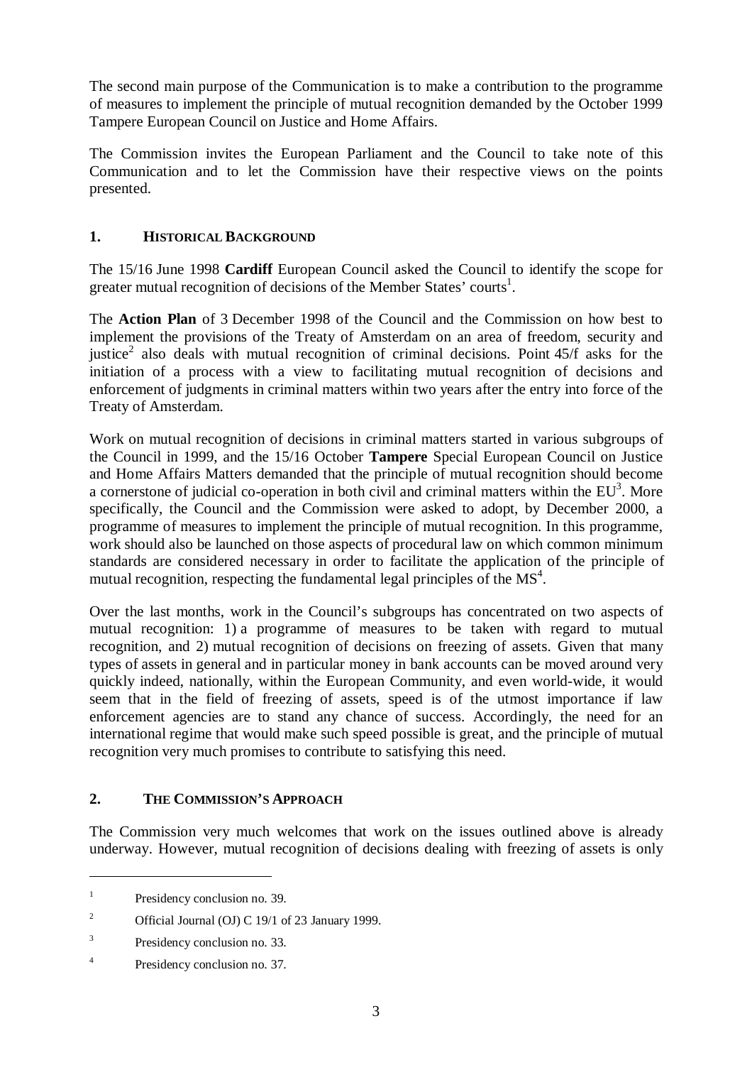The second main purpose of the Communication is to make a contribution to the programme of measures to implement the principle of mutual recognition demanded by the October 1999 Tampere European Council on Justice and Home Affairs.

The Commission invites the European Parliament and the Council to take note of this Communication and to let the Commission have their respective views on the points presented.

## **1. HISTORICAL BACKGROUND**

The 15/16 June 1998 **Cardiff** European Council asked the Council to identify the scope for greater mutual recognition of decisions of the Member States' courts<sup>1</sup>.

The **Action Plan** of 3 December 1998 of the Council and the Commission on how best to implement the provisions of the Treaty of Amsterdam on an area of freedom, security and justice<sup>2</sup> also deals with mutual recognition of criminal decisions. Point  $45/f$  asks for the initiation of a process with a view to facilitating mutual recognition of decisions and enforcement of judgments in criminal matters within two years after the entry into force of the Treaty of Amsterdam.

Work on mutual recognition of decisions in criminal matters started in various subgroups of the Council in 1999, and the 15/16 October **Tampere** Special European Council on Justice and Home Affairs Matters demanded that the principle of mutual recognition should become a cornerstone of judicial co-operation in both civil and criminal matters within the  $EU^3$ . More specifically, the Council and the Commission were asked to adopt, by December 2000, a programme of measures to implement the principle of mutual recognition. In this programme, work should also be launched on those aspects of procedural law on which common minimum standards are considered necessary in order to facilitate the application of the principle of mutual recognition, respecting the fundamental legal principles of the  $MS<sup>4</sup>$ .

Over the last months, work in the Council's subgroups has concentrated on two aspects of mutual recognition: 1) a programme of measures to be taken with regard to mutual recognition, and 2) mutual recognition of decisions on freezing of assets. Given that many types of assets in general and in particular money in bank accounts can be moved around very quickly indeed, nationally, within the European Community, and even world-wide, it would seem that in the field of freezing of assets, speed is of the utmost importance if law enforcement agencies are to stand any chance of success. Accordingly, the need for an international regime that would make such speed possible is great, and the principle of mutual recognition very much promises to contribute to satisfying this need.

## **2. THE COMMISSION'S APPROACH**

The Commission very much welcomes that work on the issues outlined above is already underway. However, mutual recognition of decisions dealing with freezing of assets is only

<sup>&</sup>lt;sup>1</sup> Presidency conclusion no. 39.

<sup>&</sup>lt;sup>2</sup> Official Journal (OJ) C 19/1 of 23 January 1999.

<sup>&</sup>lt;sup>3</sup> Presidency conclusion no. 33.

<sup>4</sup> Presidency conclusion no. 37.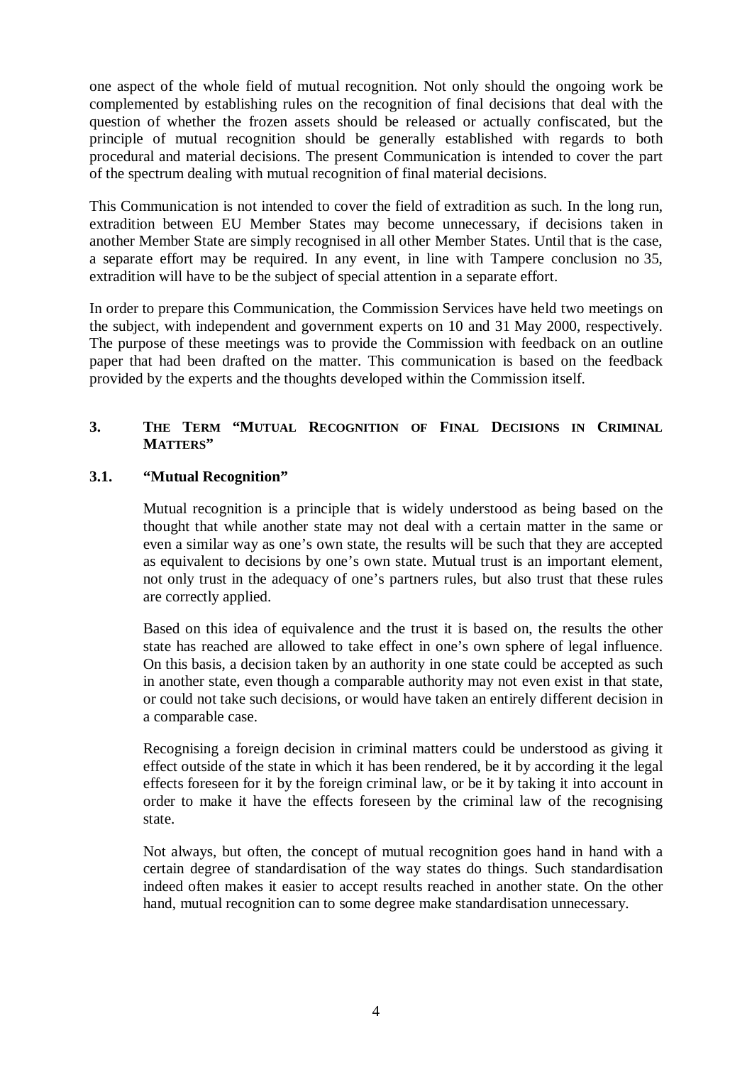one aspect of the whole field of mutual recognition. Not only should the ongoing work be complemented by establishing rules on the recognition of final decisions that deal with the question of whether the frozen assets should be released or actually confiscated, but the principle of mutual recognition should be generally established with regards to both procedural and material decisions. The present Communication is intended to cover the part of the spectrum dealing with mutual recognition of final material decisions.

This Communication is not intended to cover the field of extradition as such. In the long run, extradition between EU Member States may become unnecessary, if decisions taken in another Member State are simply recognised in all other Member States. Until that is the case, a separate effort may be required. In any event, in line with Tampere conclusion no 35, extradition will have to be the subject of special attention in a separate effort.

In order to prepare this Communication, the Commission Services have held two meetings on the subject, with independent and government experts on 10 and 31 May 2000, respectively. The purpose of these meetings was to provide the Commission with feedback on an outline paper that had been drafted on the matter. This communication is based on the feedback provided by the experts and the thoughts developed within the Commission itself.

## **3. THE TERM "MUTUAL RECOGNITION OF FINAL DECISIONS IN CRIMINAL MATTERS"**

## **3.1. "Mutual Recognition"**

Mutual recognition is a principle that is widely understood as being based on the thought that while another state may not deal with a certain matter in the same or even a similar way as one's own state, the results will be such that they are accepted as equivalent to decisions by one's own state. Mutual trust is an important element, not only trust in the adequacy of one's partners rules, but also trust that these rules are correctly applied.

Based on this idea of equivalence and the trust it is based on, the results the other state has reached are allowed to take effect in one's own sphere of legal influence. On this basis, a decision taken by an authority in one state could be accepted as such in another state, even though a comparable authority may not even exist in that state, or could not take such decisions, or would have taken an entirely different decision in a comparable case.

Recognising a foreign decision in criminal matters could be understood as giving it effect outside of the state in which it has been rendered, be it by according it the legal effects foreseen for it by the foreign criminal law, or be it by taking it into account in order to make it have the effects foreseen by the criminal law of the recognising state.

Not always, but often, the concept of mutual recognition goes hand in hand with a certain degree of standardisation of the way states do things. Such standardisation indeed often makes it easier to accept results reached in another state. On the other hand, mutual recognition can to some degree make standardisation unnecessary.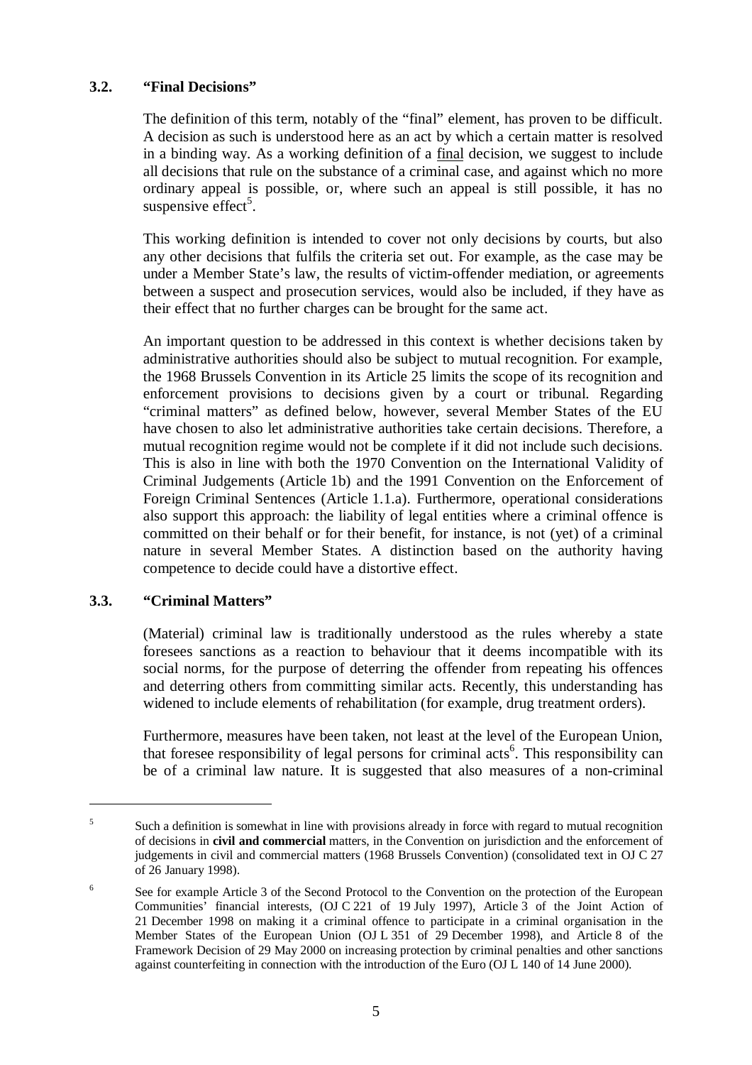### **3.2. "Final Decisions"**

The definition of this term, notably of the "final" element, has proven to be difficult. A decision as such is understood here as an act by which a certain matter is resolved in a binding way. As a working definition of a final decision, we suggest to include all decisions that rule on the substance of a criminal case, and against which no more ordinary appeal is possible, or, where such an appeal is still possible, it has no suspensive effect<sup>5</sup>.

This working definition is intended to cover not only decisions by courts, but also any other decisions that fulfils the criteria set out. For example, as the case may be under a Member State's law, the results of victim-offender mediation, or agreements between a suspect and prosecution services, would also be included, if they have as their effect that no further charges can be brought for the same act.

An important question to be addressed in this context is whether decisions taken by administrative authorities should also be subject to mutual recognition. For example, the 1968 Brussels Convention in its Article 25 limits the scope of its recognition and enforcement provisions to decisions given by a court or tribunal. Regarding "criminal matters" as defined below, however, several Member States of the EU have chosen to also let administrative authorities take certain decisions. Therefore, a mutual recognition regime would not be complete if it did not include such decisions. This is also in line with both the 1970 Convention on the International Validity of Criminal Judgements (Article 1b) and the 1991 Convention on the Enforcement of Foreign Criminal Sentences (Article 1.1.a). Furthermore, operational considerations also support this approach: the liability of legal entities where a criminal offence is committed on their behalf or for their benefit, for instance, is not (yet) of a criminal nature in several Member States. A distinction based on the authority having competence to decide could have a distortive effect.

## **3.3. "Criminal Matters"**

(Material) criminal law is traditionally understood as the rules whereby a state foresees sanctions as a reaction to behaviour that it deems incompatible with its social norms, for the purpose of deterring the offender from repeating his offences and deterring others from committing similar acts. Recently, this understanding has widened to include elements of rehabilitation (for example, drug treatment orders).

Furthermore, measures have been taken, not least at the level of the European Union, that foresee responsibility of legal persons for criminal acts<sup>6</sup>. This responsibility can be of a criminal law nature. It is suggested that also measures of a non-criminal

<sup>&</sup>lt;sup>5</sup> Such a definition is somewhat in line with provisions already in force with regard to mutual recognition of decisions in **civil and commercial** matters, in the Convention on jurisdiction and the enforcement of judgements in civil and commercial matters (1968 Brussels Convention) (consolidated text in OJ C 27 of 26 January 1998).

<sup>&</sup>lt;sup>6</sup> See for example Article 3 of the Second Protocol to the Convention on the protection of the European Communities' financial interests, (OJ C 221 of 19 July 1997), Article 3 of the Joint Action of 21 December 1998 on making it a criminal offence to participate in a criminal organisation in the Member States of the European Union (OJ L 351 of 29 December 1998), and Article 8 of the Framework Decision of 29 May 2000 on increasing protection by criminal penalties and other sanctions against counterfeiting in connection with the introduction of the Euro (OJ L 140 of 14 June 2000).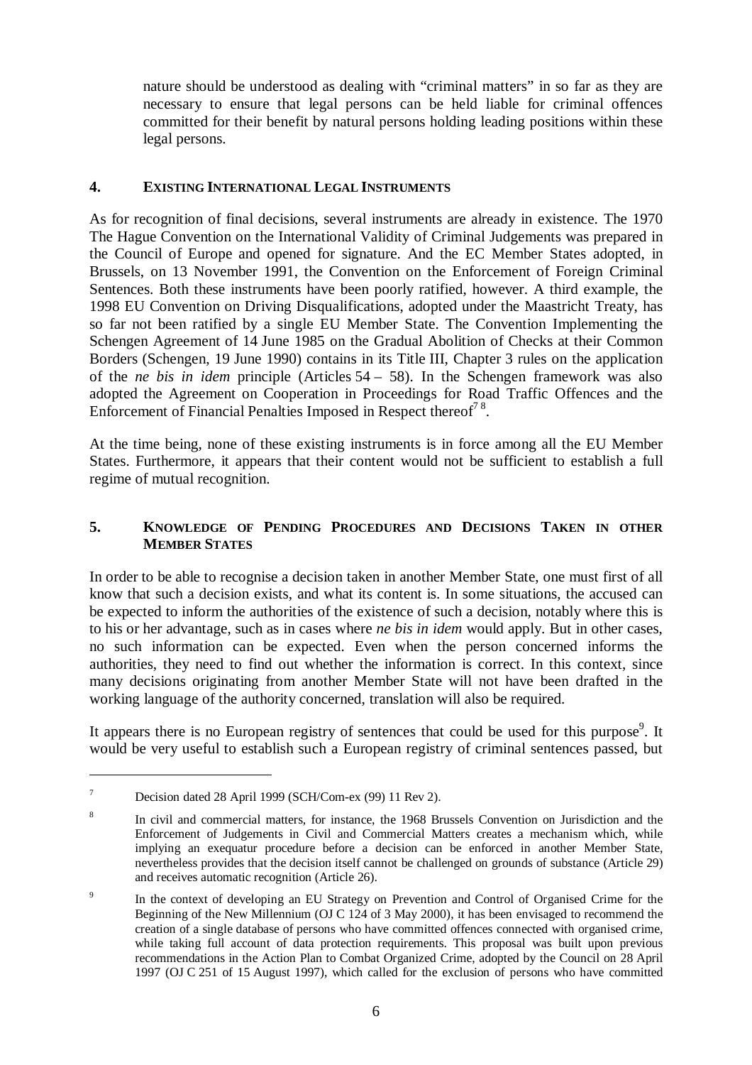nature should be understood as dealing with "criminal matters" in so far as they are necessary to ensure that legal persons can be held liable for criminal offences committed for their benefit by natural persons holding leading positions within these legal persons.

### **4. EXISTING INTERNATIONAL LEGAL INSTRUMENTS**

As for recognition of final decisions, several instruments are already in existence. The 1970 The Hague Convention on the International Validity of Criminal Judgements was prepared in the Council of Europe and opened for signature. And the EC Member States adopted, in Brussels, on 13 November 1991, the Convention on the Enforcement of Foreign Criminal Sentences. Both these instruments have been poorly ratified, however. A third example, the 1998 EU Convention on Driving Disqualifications, adopted under the Maastricht Treaty, has so far not been ratified by a single EU Member State. The Convention Implementing the Schengen Agreement of 14 June 1985 on the Gradual Abolition of Checks at their Common Borders (Schengen, 19 June 1990) contains in its Title III, Chapter 3 rules on the application of the *ne bis in idem* principle (Articles 54 – 58). In the Schengen framework was also adopted the Agreement on Cooperation in Proceedings for Road Traffic Offences and the Enforcement of Financial Penalties Imposed in Respect thereof<sup>78</sup>.

At the time being, none of these existing instruments is in force among all the EU Member States. Furthermore, it appears that their content would not be sufficient to establish a full regime of mutual recognition.

## **5. KNOWLEDGE OF PENDING PROCEDURES AND DECISIONS TAKEN IN OTHER MEMBER STATES**

In order to be able to recognise a decision taken in another Member State, one must first of all know that such a decision exists, and what its content is. In some situations, the accused can be expected to inform the authorities of the existence of such a decision, notably where this is to his or her advantage, such as in cases where *ne bis in idem* would apply. But in other cases, no such information can be expected. Even when the person concerned informs the authorities, they need to find out whether the information is correct. In this context, since many decisions originating from another Member State will not have been drafted in the working language of the authority concerned, translation will also be required.

It appears there is no European registry of sentences that could be used for this purpose<sup>9</sup>. It would be very useful to establish such a European registry of criminal sentences passed, but

 $7^7$  Decision dated 28 April 1999 (SCH/Com-ex (99) 11 Rev 2).

<sup>&</sup>lt;sup>8</sup> In civil and commercial matters, for instance, the 1968 Brussels Convention on Jurisdiction and the Enforcement of Judgements in Civil and Commercial Matters creates a mechanism which, while implying an exequatur procedure before a decision can be enforced in another Member State, nevertheless provides that the decision itself cannot be challenged on grounds of substance (Article 29) and receives automatic recognition (Article 26).

<sup>&</sup>lt;sup>9</sup> In the context of developing an EU Strategy on Prevention and Control of Organised Crime for the Beginning of the New Millennium (OJ C 124 of 3 May 2000), it has been envisaged to recommend the creation of a single database of persons who have committed offences connected with organised crime, while taking full account of data protection requirements. This proposal was built upon previous recommendations in the Action Plan to Combat Organized Crime, adopted by the Council on 28 April 1997 (OJ C 251 of 15 August 1997), which called for the exclusion of persons who have committed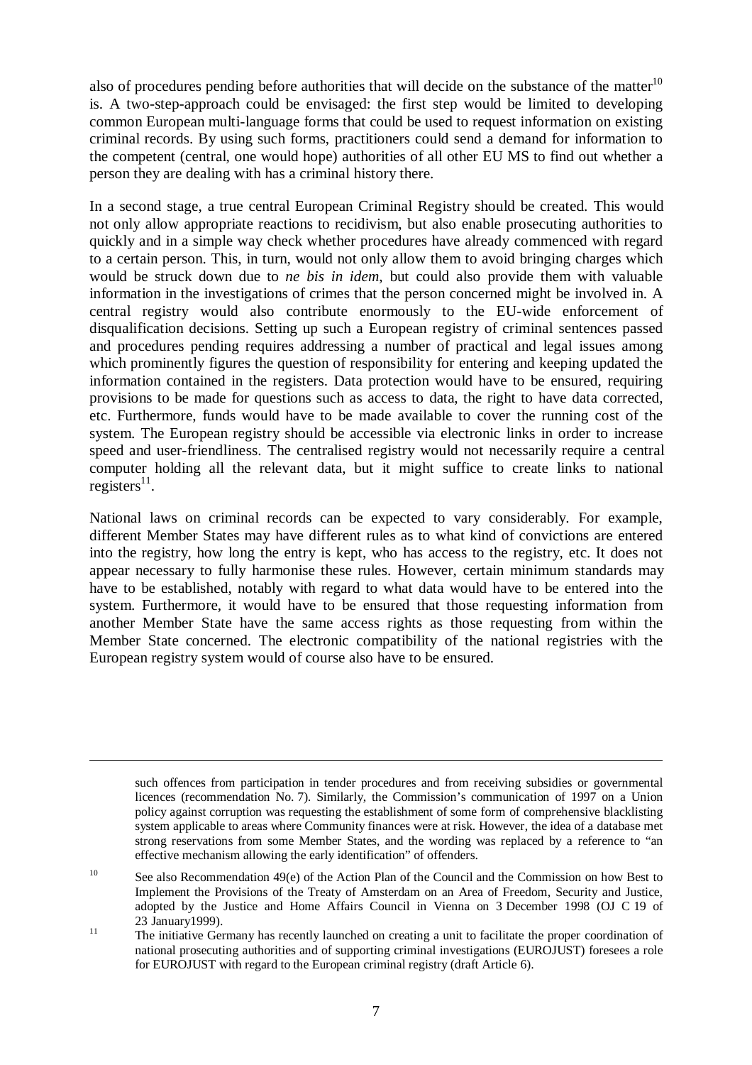also of procedures pending before authorities that will decide on the substance of the matter<sup>10</sup> is. A two-step-approach could be envisaged: the first step would be limited to developing common European multi-language forms that could be used to request information on existing criminal records. By using such forms, practitioners could send a demand for information to the competent (central, one would hope) authorities of all other EU MS to find out whether a person they are dealing with has a criminal history there.

In a second stage, a true central European Criminal Registry should be created. This would not only allow appropriate reactions to recidivism, but also enable prosecuting authorities to quickly and in a simple way check whether procedures have already commenced with regard to a certain person. This, in turn, would not only allow them to avoid bringing charges which would be struck down due to *ne bis in idem*, but could also provide them with valuable information in the investigations of crimes that the person concerned might be involved in. A central registry would also contribute enormously to the EU-wide enforcement of disqualification decisions. Setting up such a European registry of criminal sentences passed and procedures pending requires addressing a number of practical and legal issues among which prominently figures the question of responsibility for entering and keeping updated the information contained in the registers. Data protection would have to be ensured, requiring provisions to be made for questions such as access to data, the right to have data corrected, etc. Furthermore, funds would have to be made available to cover the running cost of the system. The European registry should be accessible via electronic links in order to increase speed and user-friendliness. The centralised registry would not necessarily require a central computer holding all the relevant data, but it might suffice to create links to national registers<sup>11</sup>.

National laws on criminal records can be expected to vary considerably. For example, different Member States may have different rules as to what kind of convictions are entered into the registry, how long the entry is kept, who has access to the registry, etc. It does not appear necessary to fully harmonise these rules. However, certain minimum standards may have to be established, notably with regard to what data would have to be entered into the system. Furthermore, it would have to be ensured that those requesting information from another Member State have the same access rights as those requesting from within the Member State concerned. The electronic compatibility of the national registries with the European registry system would of course also have to be ensured.

such offences from participation in tender procedures and from receiving subsidies or governmental licences (recommendation No. 7). Similarly, the Commission's communication of 1997 on a Union policy against corruption was requesting the establishment of some form of comprehensive blacklisting system applicable to areas where Community finances were at risk. However, the idea of a database met strong reservations from some Member States, and the wording was replaced by a reference to "an effective mechanism allowing the early identification" of offenders.

<sup>&</sup>lt;sup>10</sup> See also Recommendation 49(e) of the Action Plan of the Council and the Commission on how Best to Implement the Provisions of the Treaty of Amsterdam on an Area of Freedom, Security and Justice, adopted by the Justice and Home Affairs Council in Vienna on 3 December 1998 (OJ C 19 of 23 January 1999).

<sup>&</sup>lt;sup>11</sup> The initiative Germany has recently launched on creating a unit to facilitate the proper coordination of national prosecuting authorities and of supporting criminal investigations (EUROJUST) foresees a role for EUROJUST with regard to the European criminal registry (draft Article 6).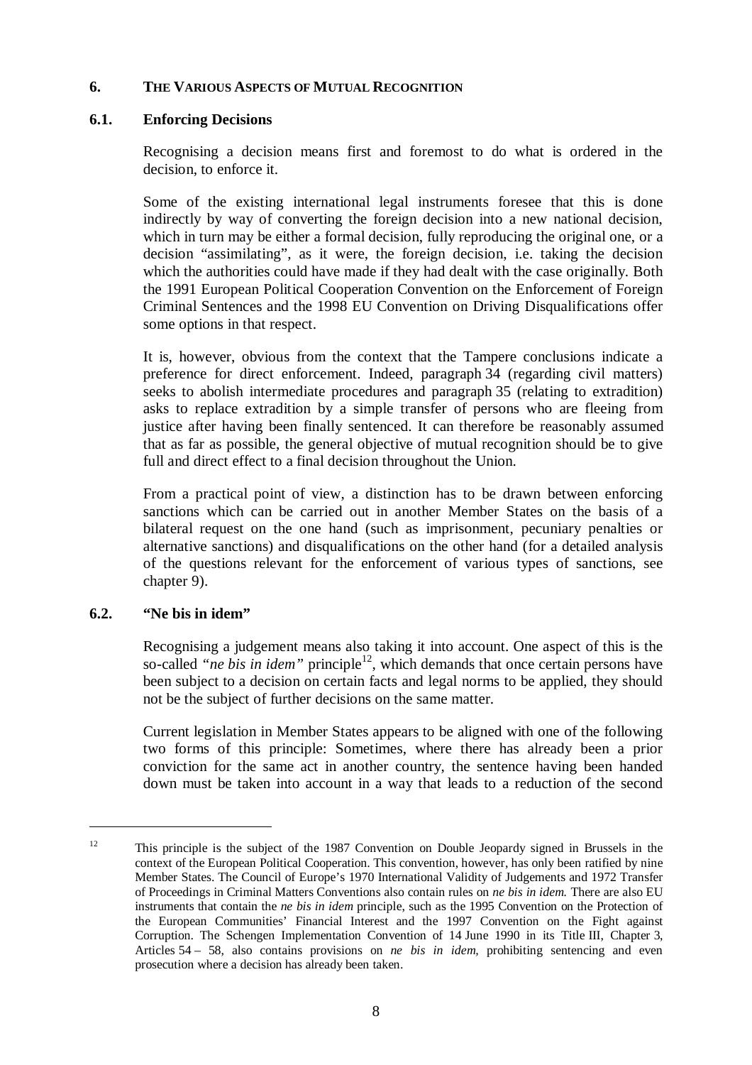#### **6. THE VARIOUS ASPECTS OF MUTUAL RECOGNITION**

#### **6.1. Enforcing Decisions**

Recognising a decision means first and foremost to do what is ordered in the decision, to enforce it.

Some of the existing international legal instruments foresee that this is done indirectly by way of converting the foreign decision into a new national decision, which in turn may be either a formal decision, fully reproducing the original one, or a decision "assimilating", as it were, the foreign decision, i.e. taking the decision which the authorities could have made if they had dealt with the case originally. Both the 1991 European Political Cooperation Convention on the Enforcement of Foreign Criminal Sentences and the 1998 EU Convention on Driving Disqualifications offer some options in that respect.

It is, however, obvious from the context that the Tampere conclusions indicate a preference for direct enforcement. Indeed, paragraph 34 (regarding civil matters) seeks to abolish intermediate procedures and paragraph 35 (relating to extradition) asks to replace extradition by a simple transfer of persons who are fleeing from justice after having been finally sentenced. It can therefore be reasonably assumed that as far as possible, the general objective of mutual recognition should be to give full and direct effect to a final decision throughout the Union.

From a practical point of view, a distinction has to be drawn between enforcing sanctions which can be carried out in another Member States on the basis of a bilateral request on the one hand (such as imprisonment, pecuniary penalties or alternative sanctions) and disqualifications on the other hand (for a detailed analysis of the questions relevant for the enforcement of various types of sanctions, see chapter 9).

#### **6.2. "Ne bis in idem"**

Recognising a judgement means also taking it into account. One aspect of this is the so-called *"ne bis in idem"* principle<sup>12</sup>, which demands that once certain persons have been subject to a decision on certain facts and legal norms to be applied, they should not be the subject of further decisions on the same matter.

Current legislation in Member States appears to be aligned with one of the following two forms of this principle: Sometimes, where there has already been a prior conviction for the same act in another country, the sentence having been handed down must be taken into account in a way that leads to a reduction of the second

<sup>&</sup>lt;sup>12</sup> This principle is the subject of the 1987 Convention on Double Jeopardy signed in Brussels in the context of the European Political Cooperation. This convention, however, has only been ratified by nine Member States. The Council of Europe's 1970 International Validity of Judgements and 1972 Transfer of Proceedings in Criminal Matters Conventions also contain rules on *ne bis in idem.* There are also EU instruments that contain the *ne bis in idem* principle, such as the 1995 Convention on the Protection of the European Communities' Financial Interest and the 1997 Convention on the Fight against Corruption. The Schengen Implementation Convention of 14 June 1990 in its Title III, Chapter 3, Articles 54 – 58, also contains provisions on *ne bis in idem,* prohibiting sentencing and even prosecution where a decision has already been taken.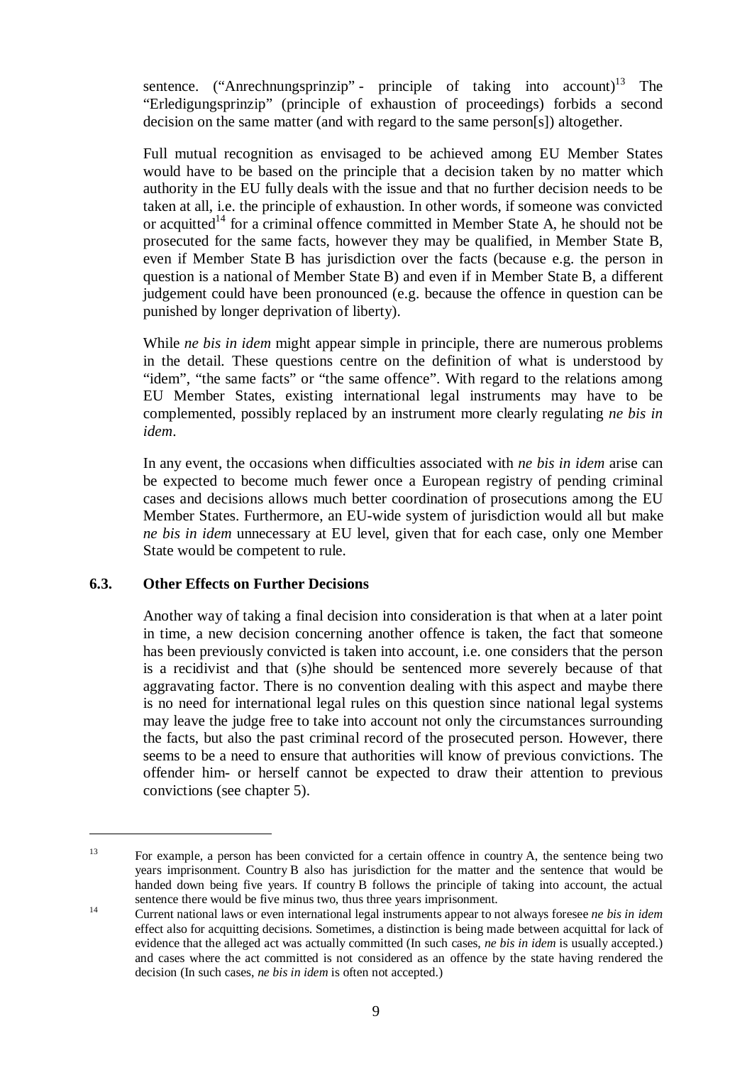sentence. ("Anrechnungsprinzip" - principle of taking into account)<sup>13</sup> The "Erledigungsprinzip" (principle of exhaustion of proceedings) forbids a second decision on the same matter (and with regard to the same person[s]) altogether.

Full mutual recognition as envisaged to be achieved among EU Member States would have to be based on the principle that a decision taken by no matter which authority in the EU fully deals with the issue and that no further decision needs to be taken at all, i.e. the principle of exhaustion. In other words, if someone was convicted or acquitted<sup>14</sup> for a criminal offence committed in Member State A, he should not be prosecuted for the same facts, however they may be qualified, in Member State B, even if Member State B has jurisdiction over the facts (because e.g. the person in question is a national of Member State B) and even if in Member State B, a different judgement could have been pronounced (e.g. because the offence in question can be punished by longer deprivation of liberty).

While *ne bis in idem* might appear simple in principle, there are numerous problems in the detail. These questions centre on the definition of what is understood by "idem", "the same facts" or "the same offence". With regard to the relations among EU Member States, existing international legal instruments may have to be complemented, possibly replaced by an instrument more clearly regulating *ne bis in idem*.

In any event, the occasions when difficulties associated with *ne bis in idem* arise can be expected to become much fewer once a European registry of pending criminal cases and decisions allows much better coordination of prosecutions among the EU Member States. Furthermore, an EU-wide system of jurisdiction would all but make *ne bis in idem* unnecessary at EU level, given that for each case, only one Member State would be competent to rule.

## **6.3. Other Effects on Further Decisions**

Another way of taking a final decision into consideration is that when at a later point in time, a new decision concerning another offence is taken, the fact that someone has been previously convicted is taken into account, i.e. one considers that the person is a recidivist and that (s)he should be sentenced more severely because of that aggravating factor. There is no convention dealing with this aspect and maybe there is no need for international legal rules on this question since national legal systems may leave the judge free to take into account not only the circumstances surrounding the facts, but also the past criminal record of the prosecuted person. However, there seems to be a need to ensure that authorities will know of previous convictions. The offender him- or herself cannot be expected to draw their attention to previous convictions (see chapter 5).

<sup>&</sup>lt;sup>13</sup> For example, a person has been convicted for a certain offence in country A, the sentence being two years imprisonment. Country B also has jurisdiction for the matter and the sentence that would be handed down being five years. If country B follows the principle of taking into account, the actual sentence there would be five minus two, thus three years imprisonment.<br><sup>14</sup> Current national laws or even international legal instruments appear to not always foresee *ne bis in idem* 

effect also for acquitting decisions. Sometimes, a distinction is being made between acquittal for lack of evidence that the alleged act was actually committed (In such cases, *ne bis in idem* is usually accepted.) and cases where the act committed is not considered as an offence by the state having rendered the decision (In such cases, *ne bis in idem* is often not accepted.)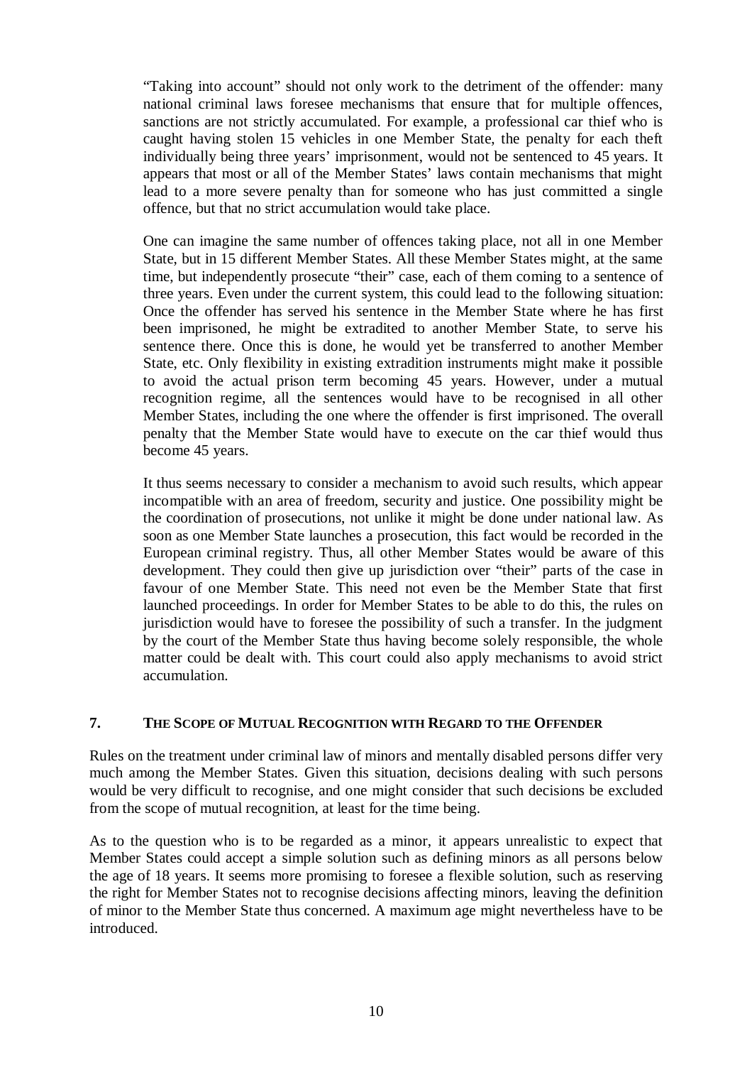"Taking into account" should not only work to the detriment of the offender: many national criminal laws foresee mechanisms that ensure that for multiple offences, sanctions are not strictly accumulated. For example, a professional car thief who is caught having stolen 15 vehicles in one Member State, the penalty for each theft individually being three years' imprisonment, would not be sentenced to 45 years. It appears that most or all of the Member States' laws contain mechanisms that might lead to a more severe penalty than for someone who has just committed a single offence, but that no strict accumulation would take place.

One can imagine the same number of offences taking place, not all in one Member State, but in 15 different Member States. All these Member States might, at the same time, but independently prosecute "their" case, each of them coming to a sentence of three years. Even under the current system, this could lead to the following situation: Once the offender has served his sentence in the Member State where he has first been imprisoned, he might be extradited to another Member State, to serve his sentence there. Once this is done, he would yet be transferred to another Member State, etc. Only flexibility in existing extradition instruments might make it possible to avoid the actual prison term becoming 45 years. However, under a mutual recognition regime, all the sentences would have to be recognised in all other Member States, including the one where the offender is first imprisoned. The overall penalty that the Member State would have to execute on the car thief would thus become 45 years.

It thus seems necessary to consider a mechanism to avoid such results, which appear incompatible with an area of freedom, security and justice. One possibility might be the coordination of prosecutions, not unlike it might be done under national law. As soon as one Member State launches a prosecution, this fact would be recorded in the European criminal registry. Thus, all other Member States would be aware of this development. They could then give up jurisdiction over "their" parts of the case in favour of one Member State. This need not even be the Member State that first launched proceedings. In order for Member States to be able to do this, the rules on jurisdiction would have to foresee the possibility of such a transfer. In the judgment by the court of the Member State thus having become solely responsible, the whole matter could be dealt with. This court could also apply mechanisms to avoid strict accumulation.

#### **7. THE SCOPE OF MUTUAL RECOGNITION WITH REGARD TO THE OFFENDER**

Rules on the treatment under criminal law of minors and mentally disabled persons differ very much among the Member States. Given this situation, decisions dealing with such persons would be very difficult to recognise, and one might consider that such decisions be excluded from the scope of mutual recognition, at least for the time being.

As to the question who is to be regarded as a minor, it appears unrealistic to expect that Member States could accept a simple solution such as defining minors as all persons below the age of 18 years. It seems more promising to foresee a flexible solution, such as reserving the right for Member States not to recognise decisions affecting minors, leaving the definition of minor to the Member State thus concerned. A maximum age might nevertheless have to be introduced.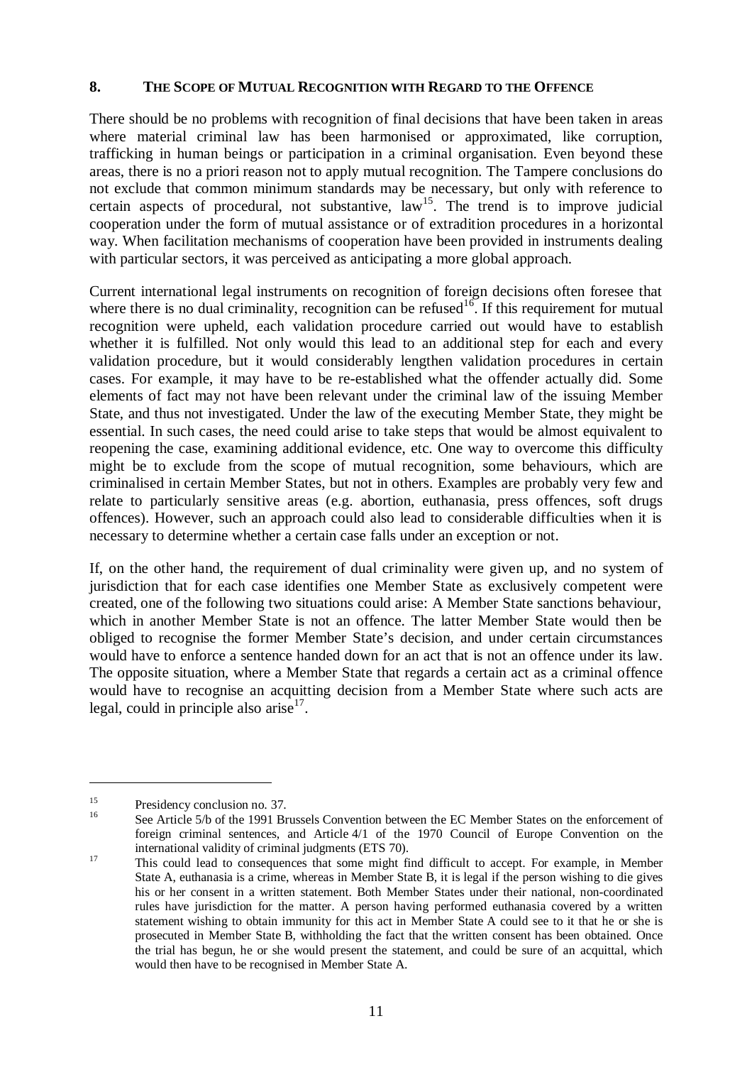#### **8. THE SCOPE OF MUTUAL RECOGNITION WITH REGARD TO THE OFFENCE**

There should be no problems with recognition of final decisions that have been taken in areas where material criminal law has been harmonised or approximated, like corruption, trafficking in human beings or participation in a criminal organisation. Even beyond these areas, there is no a priori reason not to apply mutual recognition. The Tampere conclusions do not exclude that common minimum standards may be necessary, but only with reference to certain aspects of procedural, not substantive,  $law<sup>15</sup>$ . The trend is to improve judicial cooperation under the form of mutual assistance or of extradition procedures in a horizontal way. When facilitation mechanisms of cooperation have been provided in instruments dealing with particular sectors, it was perceived as anticipating a more global approach.

Current international legal instruments on recognition of foreign decisions often foresee that where there is no dual criminality, recognition can be refused  $16$ . If this requirement for mutual recognition were upheld, each validation procedure carried out would have to establish whether it is fulfilled. Not only would this lead to an additional step for each and every validation procedure, but it would considerably lengthen validation procedures in certain cases. For example, it may have to be re-established what the offender actually did. Some elements of fact may not have been relevant under the criminal law of the issuing Member State, and thus not investigated. Under the law of the executing Member State, they might be essential. In such cases, the need could arise to take steps that would be almost equivalent to reopening the case, examining additional evidence, etc. One way to overcome this difficulty might be to exclude from the scope of mutual recognition, some behaviours, which are criminalised in certain Member States, but not in others. Examples are probably very few and relate to particularly sensitive areas (e.g. abortion, euthanasia, press offences, soft drugs offences). However, such an approach could also lead to considerable difficulties when it is necessary to determine whether a certain case falls under an exception or not.

If, on the other hand, the requirement of dual criminality were given up, and no system of jurisdiction that for each case identifies one Member State as exclusively competent were created, one of the following two situations could arise: A Member State sanctions behaviour, which in another Member State is not an offence. The latter Member State would then be obliged to recognise the former Member State's decision, and under certain circumstances would have to enforce a sentence handed down for an act that is not an offence under its law. The opposite situation, where a Member State that regards a certain act as a criminal offence would have to recognise an acquitting decision from a Member State where such acts are legal, could in principle also arise $17$ .

<sup>&</sup>lt;sup>15</sup> Presidency conclusion no. 37.<br><sup>16</sup> See Article 5/b of the 1991 Brussels Convention between the EC Member States on the enforcement of foreign criminal sentences, and Article 4/1 of the 1970 Council of Europe Convention on the

international validity of criminal judgments (ETS 70).<br><sup>17</sup> This could lead to consequences that some might find difficult to accept. For example, in Member State A, euthanasia is a crime, whereas in Member State B, it is legal if the person wishing to die gives his or her consent in a written statement. Both Member States under their national, non-coordinated rules have jurisdiction for the matter. A person having performed euthanasia covered by a written statement wishing to obtain immunity for this act in Member State A could see to it that he or she is prosecuted in Member State B, withholding the fact that the written consent has been obtained. Once the trial has begun, he or she would present the statement, and could be sure of an acquittal, which would then have to be recognised in Member State A.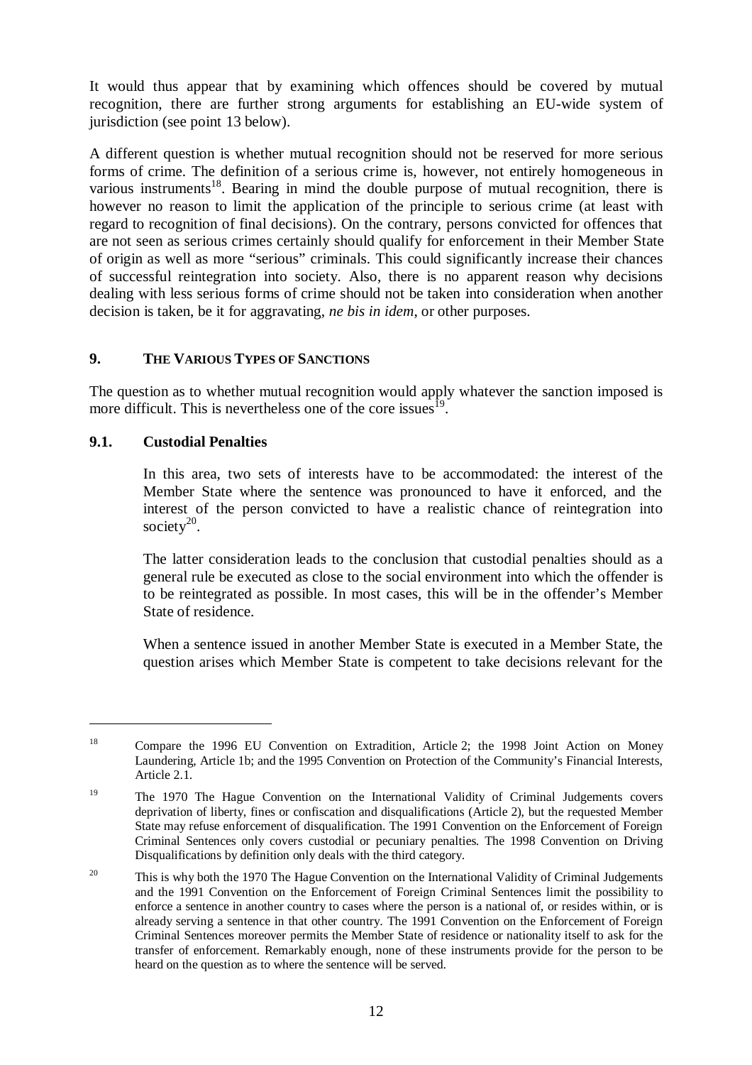It would thus appear that by examining which offences should be covered by mutual recognition, there are further strong arguments for establishing an EU-wide system of jurisdiction (see point 13 below).

A different question is whether mutual recognition should not be reserved for more serious forms of crime. The definition of a serious crime is, however, not entirely homogeneous in various instruments<sup>18</sup>. Bearing in mind the double purpose of mutual recognition, there is however no reason to limit the application of the principle to serious crime (at least with regard to recognition of final decisions). On the contrary, persons convicted for offences that are not seen as serious crimes certainly should qualify for enforcement in their Member State of origin as well as more "serious" criminals. This could significantly increase their chances of successful reintegration into society. Also, there is no apparent reason why decisions dealing with less serious forms of crime should not be taken into consideration when another decision is taken, be it for aggravating, *ne bis in idem*, or other purposes.

## **9. THE VARIOUS TYPES OF SANCTIONS**

The question as to whether mutual recognition would apply whatever the sanction imposed is more difficult. This is nevertheless one of the core issues<sup>1</sup>.

#### **9.1. Custodial Penalties**

In this area, two sets of interests have to be accommodated: the interest of the Member State where the sentence was pronounced to have it enforced, and the interest of the person convicted to have a realistic chance of reintegration into society $20$ .

The latter consideration leads to the conclusion that custodial penalties should as a general rule be executed as close to the social environment into which the offender is to be reintegrated as possible. In most cases, this will be in the offender's Member State of residence.

When a sentence issued in another Member State is executed in a Member State, the question arises which Member State is competent to take decisions relevant for the

<sup>&</sup>lt;sup>18</sup> Compare the 1996 EU Convention on Extradition, Article 2; the 1998 Joint Action on Money Laundering, Article 1b; and the 1995 Convention on Protection of the Community's Financial Interests, Article 2.1.

<sup>&</sup>lt;sup>19</sup> The 1970 The Hague Convention on the International Validity of Criminal Judgements covers deprivation of liberty, fines or confiscation and disqualifications (Article 2), but the requested Member State may refuse enforcement of disqualification. The 1991 Convention on the Enforcement of Foreign Criminal Sentences only covers custodial or pecuniary penalties. The 1998 Convention on Driving Disqualifications by definition only deals with the third category.

<sup>&</sup>lt;sup>20</sup> This is why both the 1970 The Hague Convention on the International Validity of Criminal Judgements and the 1991 Convention on the Enforcement of Foreign Criminal Sentences limit the possibility to enforce a sentence in another country to cases where the person is a national of, or resides within, or is already serving a sentence in that other country. The 1991 Convention on the Enforcement of Foreign Criminal Sentences moreover permits the Member State of residence or nationality itself to ask for the transfer of enforcement. Remarkably enough, none of these instruments provide for the person to be heard on the question as to where the sentence will be served.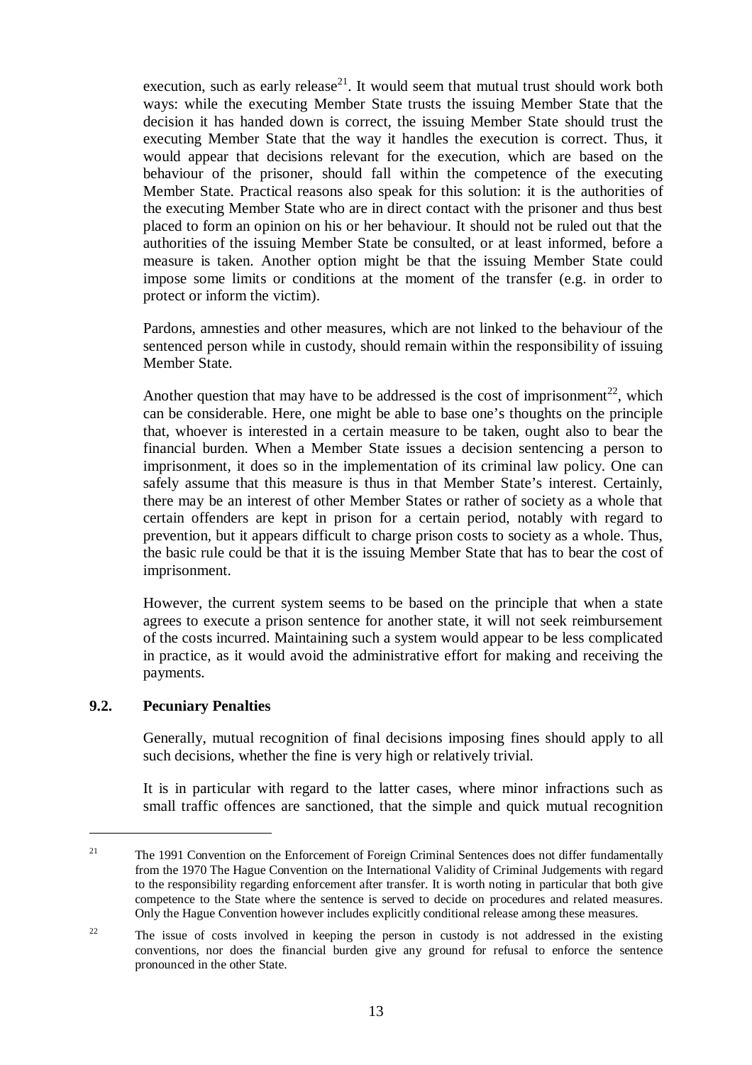execution, such as early release<sup>21</sup>. It would seem that mutual trust should work both ways: while the executing Member State trusts the issuing Member State that the decision it has handed down is correct, the issuing Member State should trust the executing Member State that the way it handles the execution is correct. Thus, it would appear that decisions relevant for the execution, which are based on the behaviour of the prisoner, should fall within the competence of the executing Member State. Practical reasons also speak for this solution: it is the authorities of the executing Member State who are in direct contact with the prisoner and thus best placed to form an opinion on his or her behaviour. It should not be ruled out that the authorities of the issuing Member State be consulted, or at least informed, before a measure is taken. Another option might be that the issuing Member State could impose some limits or conditions at the moment of the transfer (e.g. in order to protect or inform the victim).

Pardons, amnesties and other measures, which are not linked to the behaviour of the sentenced person while in custody, should remain within the responsibility of issuing Member State.

Another question that may have to be addressed is the cost of imprisonment<sup>22</sup>, which can be considerable. Here, one might be able to base one's thoughts on the principle that, whoever is interested in a certain measure to be taken, ought also to bear the financial burden. When a Member State issues a decision sentencing a person to imprisonment, it does so in the implementation of its criminal law policy. One can safely assume that this measure is thus in that Member State's interest. Certainly, there may be an interest of other Member States or rather of society as a whole that certain offenders are kept in prison for a certain period, notably with regard to prevention, but it appears difficult to charge prison costs to society as a whole. Thus, the basic rule could be that it is the issuing Member State that has to bear the cost of imprisonment.

However, the current system seems to be based on the principle that when a state agrees to execute a prison sentence for another state, it will not seek reimbursement of the costs incurred. Maintaining such a system would appear to be less complicated in practice, as it would avoid the administrative effort for making and receiving the payments.

### **9.2. Pecuniary Penalties**

Generally, mutual recognition of final decisions imposing fines should apply to all such decisions, whether the fine is very high or relatively trivial.

It is in particular with regard to the latter cases, where minor infractions such as small traffic offences are sanctioned, that the simple and quick mutual recognition

<sup>&</sup>lt;sup>21</sup> The 1991 Convention on the Enforcement of Foreign Criminal Sentences does not differ fundamentally from the 1970 The Hague Convention on the International Validity of Criminal Judgements with regard to the responsibility regarding enforcement after transfer. It is worth noting in particular that both give competence to the State where the sentence is served to decide on procedures and related measures. Only the Hague Convention however includes explicitly conditional release among these measures.

<sup>&</sup>lt;sup>22</sup> The issue of costs involved in keeping the person in custody is not addressed in the existing conventions, nor does the financial burden give any ground for refusal to enforce the sentence pronounced in the other State.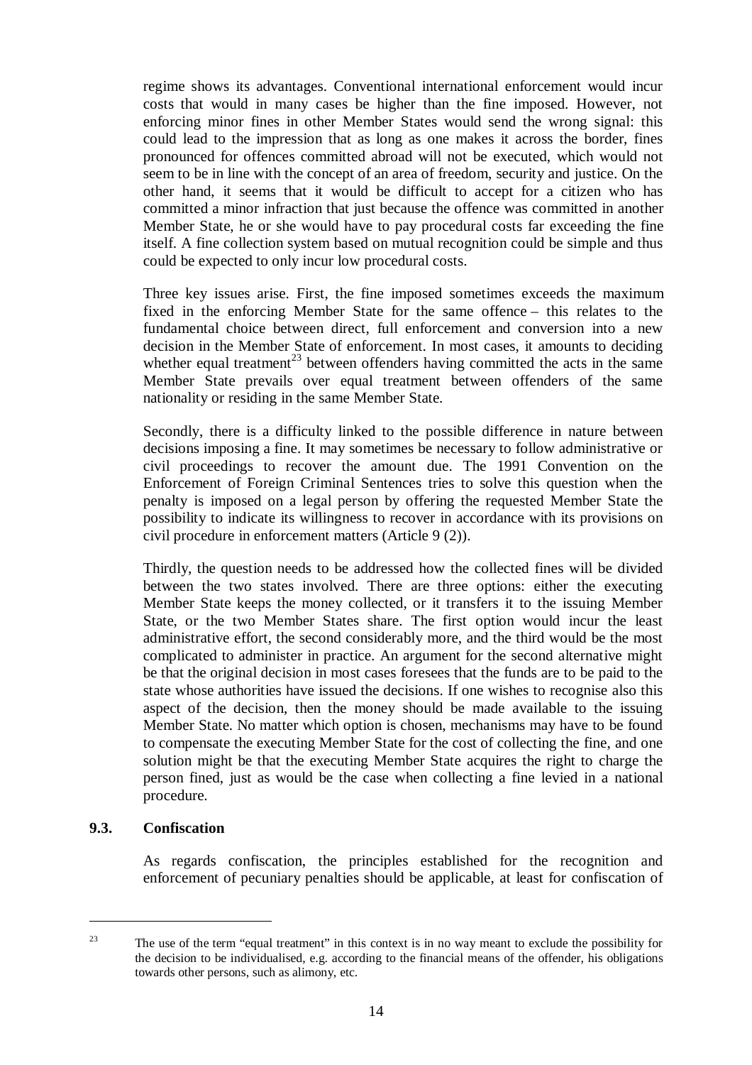regime shows its advantages. Conventional international enforcement would incur costs that would in many cases be higher than the fine imposed. However, not enforcing minor fines in other Member States would send the wrong signal: this could lead to the impression that as long as one makes it across the border, fines pronounced for offences committed abroad will not be executed, which would not seem to be in line with the concept of an area of freedom, security and justice. On the other hand, it seems that it would be difficult to accept for a citizen who has committed a minor infraction that just because the offence was committed in another Member State, he or she would have to pay procedural costs far exceeding the fine itself. A fine collection system based on mutual recognition could be simple and thus could be expected to only incur low procedural costs.

Three key issues arise. First, the fine imposed sometimes exceeds the maximum fixed in the enforcing Member State for the same offence – this relates to the fundamental choice between direct, full enforcement and conversion into a new decision in the Member State of enforcement. In most cases, it amounts to deciding whether equal treatment<sup>23</sup> between offenders having committed the acts in the same Member State prevails over equal treatment between offenders of the same nationality or residing in the same Member State.

Secondly, there is a difficulty linked to the possible difference in nature between decisions imposing a fine. It may sometimes be necessary to follow administrative or civil proceedings to recover the amount due. The 1991 Convention on the Enforcement of Foreign Criminal Sentences tries to solve this question when the penalty is imposed on a legal person by offering the requested Member State the possibility to indicate its willingness to recover in accordance with its provisions on civil procedure in enforcement matters (Article 9 (2)).

Thirdly, the question needs to be addressed how the collected fines will be divided between the two states involved. There are three options: either the executing Member State keeps the money collected, or it transfers it to the issuing Member State, or the two Member States share. The first option would incur the least administrative effort, the second considerably more, and the third would be the most complicated to administer in practice. An argument for the second alternative might be that the original decision in most cases foresees that the funds are to be paid to the state whose authorities have issued the decisions. If one wishes to recognise also this aspect of the decision, then the money should be made available to the issuing Member State. No matter which option is chosen, mechanisms may have to be found to compensate the executing Member State for the cost of collecting the fine, and one solution might be that the executing Member State acquires the right to charge the person fined, just as would be the case when collecting a fine levied in a national procedure.

#### **9.3. Confiscation**

As regards confiscation, the principles established for the recognition and enforcement of pecuniary penalties should be applicable, at least for confiscation of

<sup>&</sup>lt;sup>23</sup> The use of the term "equal treatment" in this context is in no way meant to exclude the possibility for the decision to be individualised, e.g. according to the financial means of the offender, his obligations towards other persons, such as alimony, etc.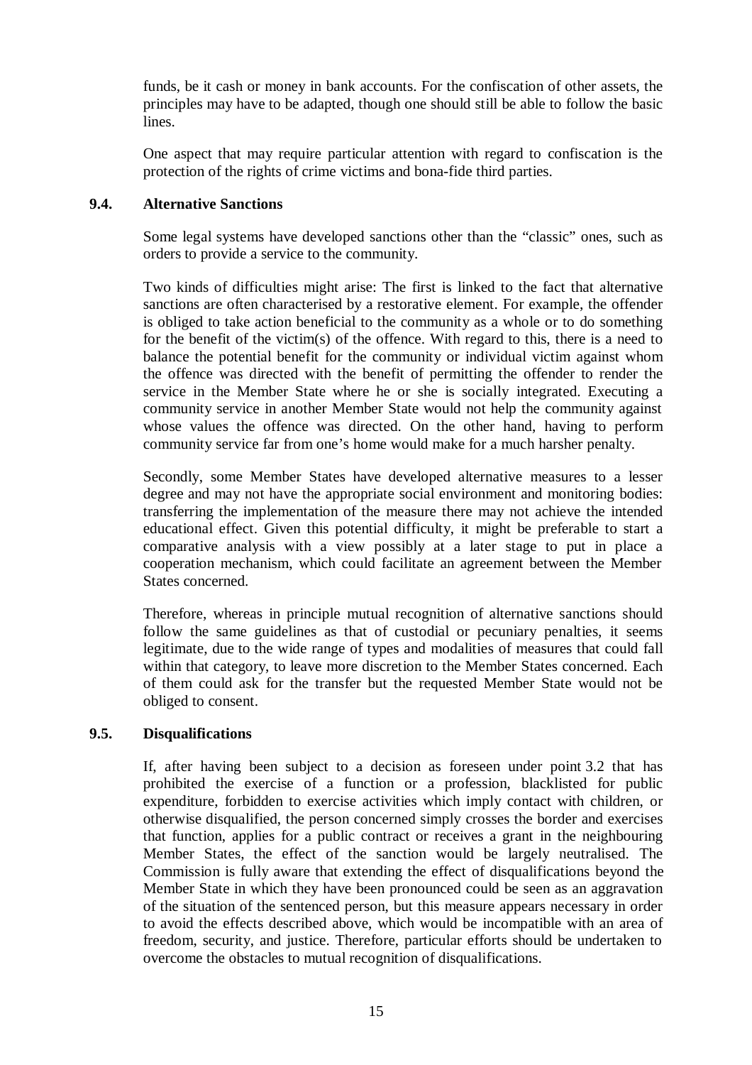funds, be it cash or money in bank accounts. For the confiscation of other assets, the principles may have to be adapted, though one should still be able to follow the basic lines.

One aspect that may require particular attention with regard to confiscation is the protection of the rights of crime victims and bona-fide third parties.

### **9.4. Alternative Sanctions**

Some legal systems have developed sanctions other than the "classic" ones, such as orders to provide a service to the community.

Two kinds of difficulties might arise: The first is linked to the fact that alternative sanctions are often characterised by a restorative element. For example, the offender is obliged to take action beneficial to the community as a whole or to do something for the benefit of the victim(s) of the offence. With regard to this, there is a need to balance the potential benefit for the community or individual victim against whom the offence was directed with the benefit of permitting the offender to render the service in the Member State where he or she is socially integrated. Executing a community service in another Member State would not help the community against whose values the offence was directed. On the other hand, having to perform community service far from one's home would make for a much harsher penalty.

Secondly, some Member States have developed alternative measures to a lesser degree and may not have the appropriate social environment and monitoring bodies: transferring the implementation of the measure there may not achieve the intended educational effect. Given this potential difficulty, it might be preferable to start a comparative analysis with a view possibly at a later stage to put in place a cooperation mechanism, which could facilitate an agreement between the Member States concerned.

Therefore, whereas in principle mutual recognition of alternative sanctions should follow the same guidelines as that of custodial or pecuniary penalties, it seems legitimate, due to the wide range of types and modalities of measures that could fall within that category, to leave more discretion to the Member States concerned. Each of them could ask for the transfer but the requested Member State would not be obliged to consent.

## **9.5. Disqualifications**

If, after having been subject to a decision as foreseen under point 3.2 that has prohibited the exercise of a function or a profession, blacklisted for public expenditure, forbidden to exercise activities which imply contact with children, or otherwise disqualified, the person concerned simply crosses the border and exercises that function, applies for a public contract or receives a grant in the neighbouring Member States, the effect of the sanction would be largely neutralised. The Commission is fully aware that extending the effect of disqualifications beyond the Member State in which they have been pronounced could be seen as an aggravation of the situation of the sentenced person, but this measure appears necessary in order to avoid the effects described above, which would be incompatible with an area of freedom, security, and justice. Therefore, particular efforts should be undertaken to overcome the obstacles to mutual recognition of disqualifications.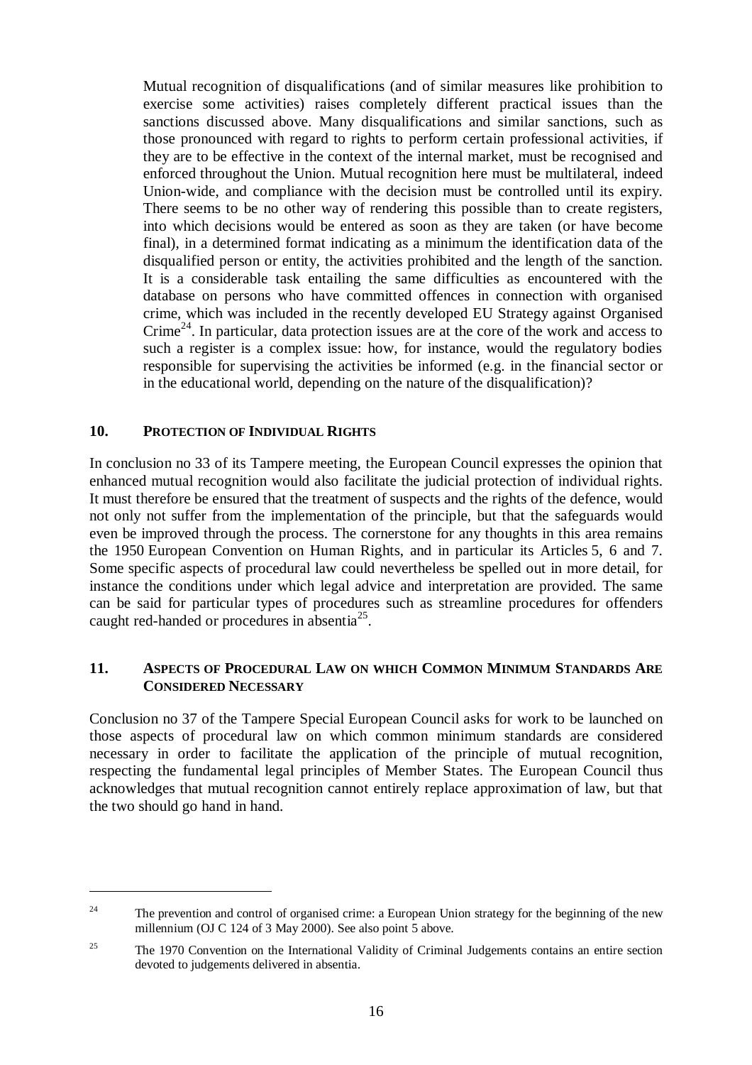Mutual recognition of disqualifications (and of similar measures like prohibition to exercise some activities) raises completely different practical issues than the sanctions discussed above. Many disqualifications and similar sanctions, such as those pronounced with regard to rights to perform certain professional activities, if they are to be effective in the context of the internal market, must be recognised and enforced throughout the Union. Mutual recognition here must be multilateral, indeed Union-wide, and compliance with the decision must be controlled until its expiry. There seems to be no other way of rendering this possible than to create registers, into which decisions would be entered as soon as they are taken (or have become final), in a determined format indicating as a minimum the identification data of the disqualified person or entity, the activities prohibited and the length of the sanction. It is a considerable task entailing the same difficulties as encountered with the database on persons who have committed offences in connection with organised crime, which was included in the recently developed EU Strategy against Organised Crime<sup>24</sup>. In particular, data protection issues are at the core of the work and access to such a register is a complex issue: how, for instance, would the regulatory bodies responsible for supervising the activities be informed (e.g. in the financial sector or in the educational world, depending on the nature of the disqualification)?

### **10. PROTECTION OF INDIVIDUAL RIGHTS**

In conclusion no 33 of its Tampere meeting, the European Council expresses the opinion that enhanced mutual recognition would also facilitate the judicial protection of individual rights. It must therefore be ensured that the treatment of suspects and the rights of the defence, would not only not suffer from the implementation of the principle, but that the safeguards would even be improved through the process. The cornerstone for any thoughts in this area remains the 1950 European Convention on Human Rights, and in particular its Articles 5, 6 and 7. Some specific aspects of procedural law could nevertheless be spelled out in more detail, for instance the conditions under which legal advice and interpretation are provided. The same can be said for particular types of procedures such as streamline procedures for offenders caught red-handed or procedures in absentia25.

### **11. ASPECTS OF PROCEDURAL LAW ON WHICH COMMON MINIMUM STANDARDS ARE CONSIDERED NECESSARY**

Conclusion no 37 of the Tampere Special European Council asks for work to be launched on those aspects of procedural law on which common minimum standards are considered necessary in order to facilitate the application of the principle of mutual recognition, respecting the fundamental legal principles of Member States. The European Council thus acknowledges that mutual recognition cannot entirely replace approximation of law, but that the two should go hand in hand.

<sup>&</sup>lt;sup>24</sup> The prevention and control of organised crime: a European Union strategy for the beginning of the new millennium (OJ C 124 of 3 May 2000). See also point 5 above.

<sup>&</sup>lt;sup>25</sup> The 1970 Convention on the International Validity of Criminal Judgements contains an entire section devoted to judgements delivered in absentia.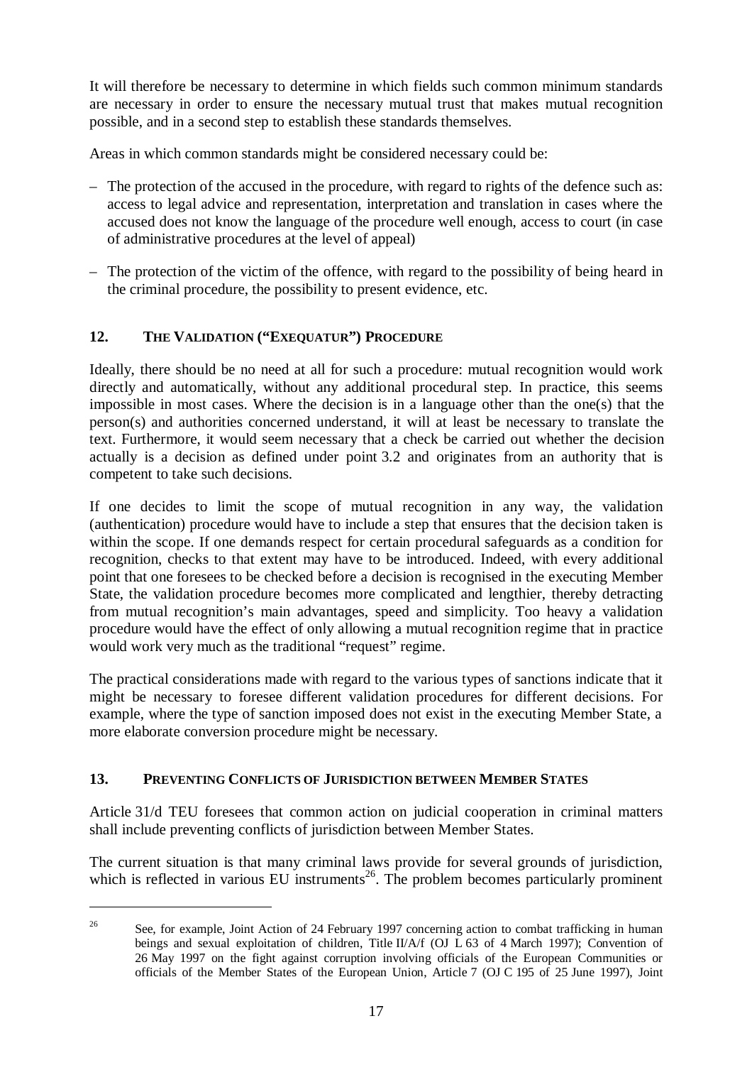It will therefore be necessary to determine in which fields such common minimum standards are necessary in order to ensure the necessary mutual trust that makes mutual recognition possible, and in a second step to establish these standards themselves.

Areas in which common standards might be considered necessary could be:

- The protection of the accused in the procedure, with regard to rights of the defence such as: access to legal advice and representation, interpretation and translation in cases where the accused does not know the language of the procedure well enough, access to court (in case of administrative procedures at the level of appeal)
- The protection of the victim of the offence, with regard to the possibility of being heard in the criminal procedure, the possibility to present evidence, etc.

# **12. THE VALIDATION ("EXEQUATUR") PROCEDURE**

Ideally, there should be no need at all for such a procedure: mutual recognition would work directly and automatically, without any additional procedural step. In practice, this seems impossible in most cases. Where the decision is in a language other than the one(s) that the person(s) and authorities concerned understand, it will at least be necessary to translate the text. Furthermore, it would seem necessary that a check be carried out whether the decision actually is a decision as defined under point 3.2 and originates from an authority that is competent to take such decisions.

If one decides to limit the scope of mutual recognition in any way, the validation (authentication) procedure would have to include a step that ensures that the decision taken is within the scope. If one demands respect for certain procedural safeguards as a condition for recognition, checks to that extent may have to be introduced. Indeed, with every additional point that one foresees to be checked before a decision is recognised in the executing Member State, the validation procedure becomes more complicated and lengthier, thereby detracting from mutual recognition's main advantages, speed and simplicity. Too heavy a validation procedure would have the effect of only allowing a mutual recognition regime that in practice would work very much as the traditional "request" regime.

The practical considerations made with regard to the various types of sanctions indicate that it might be necessary to foresee different validation procedures for different decisions. For example, where the type of sanction imposed does not exist in the executing Member State, a more elaborate conversion procedure might be necessary.

## **13. PREVENTING CONFLICTS OF JURISDICTION BETWEEN MEMBER STATES**

Article 31/d TEU foresees that common action on judicial cooperation in criminal matters shall include preventing conflicts of jurisdiction between Member States.

The current situation is that many criminal laws provide for several grounds of jurisdiction, which is reflected in various EU instruments<sup>26</sup>. The problem becomes particularly prominent

<sup>&</sup>lt;sup>26</sup> See, for example, Joint Action of 24 February 1997 concerning action to combat trafficking in human beings and sexual exploitation of children, Title II/A/f (OJ L 63 of 4 March 1997); Convention of 26 May 1997 on the fight against corruption involving officials of the European Communities or officials of the Member States of the European Union, Article 7 (OJ C 195 of 25 June 1997), Joint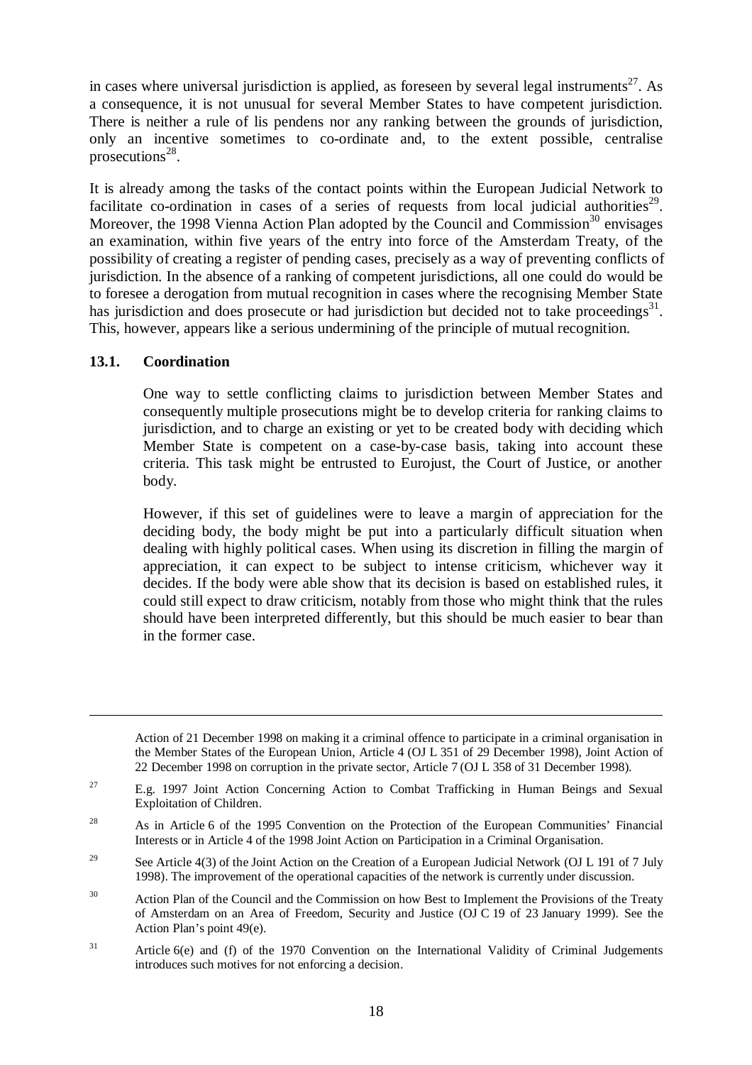in cases where universal jurisdiction is applied, as foreseen by several legal instruments<sup>27</sup>. As a consequence, it is not unusual for several Member States to have competent jurisdiction. There is neither a rule of lis pendens nor any ranking between the grounds of jurisdiction, only an incentive sometimes to co-ordinate and, to the extent possible, centralise prosecutions $^{28}$ .

It is already among the tasks of the contact points within the European Judicial Network to facilitate co-ordination in cases of a series of requests from local judicial authorities<sup>29</sup>. Moreover, the 1998 Vienna Action Plan adopted by the Council and Commission<sup>30</sup> envisages an examination, within five years of the entry into force of the Amsterdam Treaty, of the possibility of creating a register of pending cases, precisely as a way of preventing conflicts of jurisdiction. In the absence of a ranking of competent jurisdictions, all one could do would be to foresee a derogation from mutual recognition in cases where the recognising Member State has jurisdiction and does prosecute or had jurisdiction but decided not to take proceedings<sup>31</sup>. This, however, appears like a serious undermining of the principle of mutual recognition.

### **13.1. Coordination**

One way to settle conflicting claims to jurisdiction between Member States and consequently multiple prosecutions might be to develop criteria for ranking claims to jurisdiction, and to charge an existing or yet to be created body with deciding which Member State is competent on a case-by-case basis, taking into account these criteria. This task might be entrusted to Eurojust, the Court of Justice, or another body.

However, if this set of guidelines were to leave a margin of appreciation for the deciding body, the body might be put into a particularly difficult situation when dealing with highly political cases. When using its discretion in filling the margin of appreciation, it can expect to be subject to intense criticism, whichever way it decides. If the body were able show that its decision is based on established rules, it could still expect to draw criticism, notably from those who might think that the rules should have been interpreted differently, but this should be much easier to bear than in the former case.

Action of 21 December 1998 on making it a criminal offence to participate in a criminal organisation in the Member States of the European Union, Article 4 (OJ L 351 of 29 December 1998), Joint Action of 22 December 1998 on corruption in the private sector, Article 7 (OJ L 358 of 31 December 1998).

<sup>&</sup>lt;sup>27</sup> E.g. 1997 Joint Action Concerning Action to Combat Trafficking in Human Beings and Sexual Exploitation of Children.

<sup>&</sup>lt;sup>28</sup> As in Article 6 of the 1995 Convention on the Protection of the European Communities' Financial Interests or in Article 4 of the 1998 Joint Action on Participation in a Criminal Organisation.

<sup>&</sup>lt;sup>29</sup> See Article 4(3) of the Joint Action on the Creation of a European Judicial Network (OJ L 191 of 7 July 1998). The improvement of the operational capacities of the network is currently under discussion.

<sup>&</sup>lt;sup>30</sup> Action Plan of the Council and the Commission on how Best to Implement the Provisions of the Treaty of Amsterdam on an Area of Freedom, Security and Justice (OJ C 19 of 23 January 1999). See the Action Plan's point 49(e).

 $31$  Article 6(e) and (f) of the 1970 Convention on the International Validity of Criminal Judgements introduces such motives for not enforcing a decision.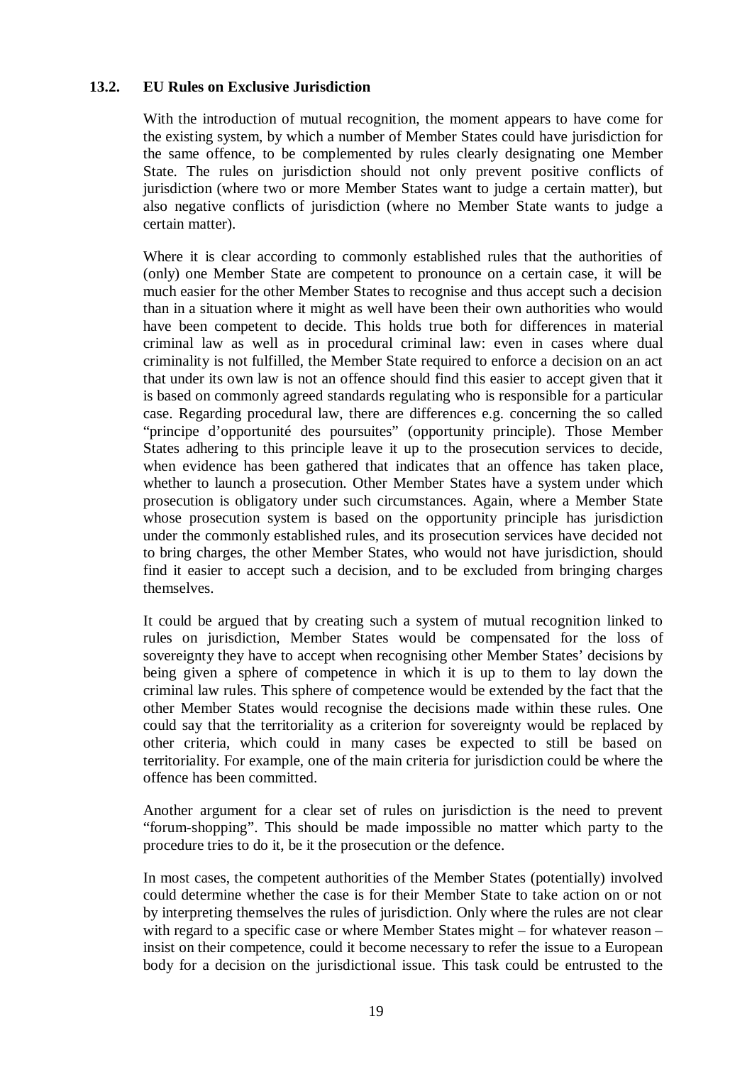#### **13.2. EU Rules on Exclusive Jurisdiction**

With the introduction of mutual recognition, the moment appears to have come for the existing system, by which a number of Member States could have jurisdiction for the same offence, to be complemented by rules clearly designating one Member State. The rules on jurisdiction should not only prevent positive conflicts of jurisdiction (where two or more Member States want to judge a certain matter), but also negative conflicts of jurisdiction (where no Member State wants to judge a certain matter).

Where it is clear according to commonly established rules that the authorities of (only) one Member State are competent to pronounce on a certain case, it will be much easier for the other Member States to recognise and thus accept such a decision than in a situation where it might as well have been their own authorities who would have been competent to decide. This holds true both for differences in material criminal law as well as in procedural criminal law: even in cases where dual criminality is not fulfilled, the Member State required to enforce a decision on an act that under its own law is not an offence should find this easier to accept given that it is based on commonly agreed standards regulating who is responsible for a particular case. Regarding procedural law, there are differences e.g. concerning the so called "principe d'opportunité des poursuites" (opportunity principle). Those Member States adhering to this principle leave it up to the prosecution services to decide, when evidence has been gathered that indicates that an offence has taken place, whether to launch a prosecution. Other Member States have a system under which prosecution is obligatory under such circumstances. Again, where a Member State whose prosecution system is based on the opportunity principle has jurisdiction under the commonly established rules, and its prosecution services have decided not to bring charges, the other Member States, who would not have jurisdiction, should find it easier to accept such a decision, and to be excluded from bringing charges themselves.

It could be argued that by creating such a system of mutual recognition linked to rules on jurisdiction, Member States would be compensated for the loss of sovereignty they have to accept when recognising other Member States' decisions by being given a sphere of competence in which it is up to them to lay down the criminal law rules. This sphere of competence would be extended by the fact that the other Member States would recognise the decisions made within these rules. One could say that the territoriality as a criterion for sovereignty would be replaced by other criteria, which could in many cases be expected to still be based on territoriality. For example, one of the main criteria for jurisdiction could be where the offence has been committed.

Another argument for a clear set of rules on jurisdiction is the need to prevent "forum-shopping". This should be made impossible no matter which party to the procedure tries to do it, be it the prosecution or the defence.

In most cases, the competent authorities of the Member States (potentially) involved could determine whether the case is for their Member State to take action on or not by interpreting themselves the rules of jurisdiction. Only where the rules are not clear with regard to a specific case or where Member States might – for whatever reason – insist on their competence, could it become necessary to refer the issue to a European body for a decision on the jurisdictional issue. This task could be entrusted to the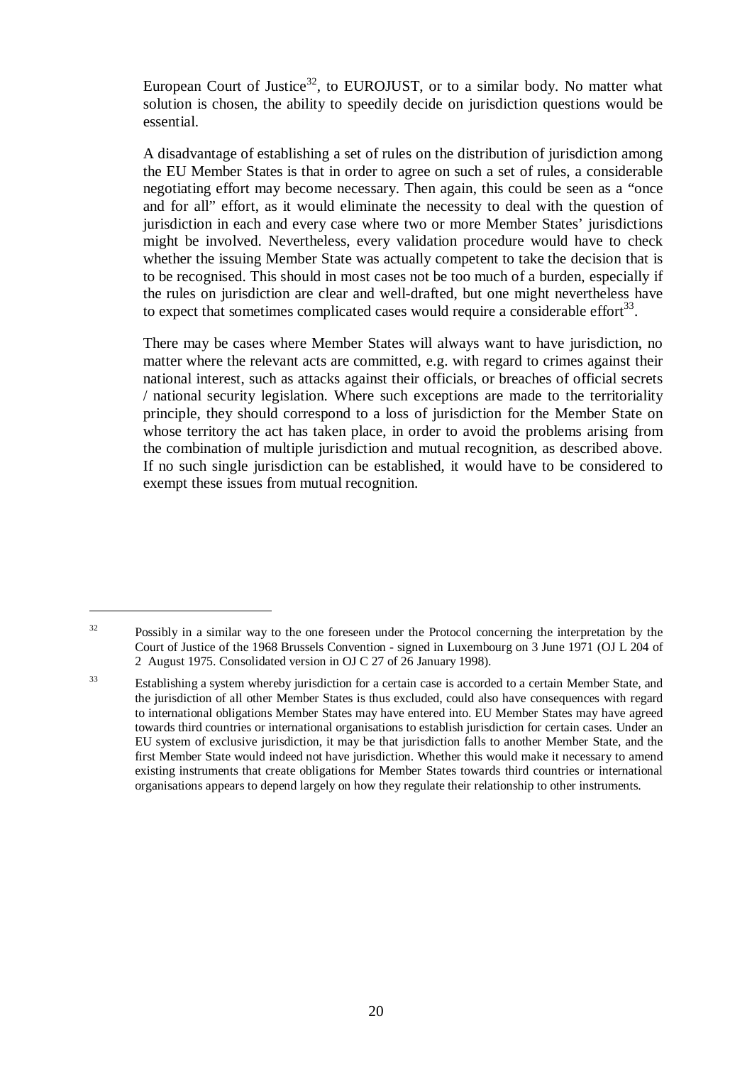European Court of Justice<sup>32</sup>, to EUROJUST, or to a similar body. No matter what solution is chosen, the ability to speedily decide on jurisdiction questions would be essential.

A disadvantage of establishing a set of rules on the distribution of jurisdiction among the EU Member States is that in order to agree on such a set of rules, a considerable negotiating effort may become necessary. Then again, this could be seen as a "once and for all" effort, as it would eliminate the necessity to deal with the question of jurisdiction in each and every case where two or more Member States' jurisdictions might be involved. Nevertheless, every validation procedure would have to check whether the issuing Member State was actually competent to take the decision that is to be recognised. This should in most cases not be too much of a burden, especially if the rules on jurisdiction are clear and well-drafted, but one might nevertheless have to expect that sometimes complicated cases would require a considerable effort $^{33}$ .

There may be cases where Member States will always want to have jurisdiction, no matter where the relevant acts are committed, e.g. with regard to crimes against their national interest, such as attacks against their officials, or breaches of official secrets / national security legislation. Where such exceptions are made to the territoriality principle, they should correspond to a loss of jurisdiction for the Member State on whose territory the act has taken place, in order to avoid the problems arising from the combination of multiple jurisdiction and mutual recognition, as described above. If no such single jurisdiction can be established, it would have to be considered to exempt these issues from mutual recognition.

<sup>&</sup>lt;sup>32</sup> Possibly in a similar way to the one foreseen under the Protocol concerning the interpretation by the Court of Justice of the 1968 Brussels Convention - signed in Luxembourg on 3 June 1971 (OJ L 204 of 2 August 1975. Consolidated version in OJ C 27 of 26 January 1998).

<sup>&</sup>lt;sup>33</sup> Establishing a system whereby jurisdiction for a certain case is accorded to a certain Member State, and the jurisdiction of all other Member States is thus excluded, could also have consequences with regard to international obligations Member States may have entered into. EU Member States may have agreed towards third countries or international organisations to establish jurisdiction for certain cases. Under an EU system of exclusive jurisdiction, it may be that jurisdiction falls to another Member State, and the first Member State would indeed not have jurisdiction. Whether this would make it necessary to amend existing instruments that create obligations for Member States towards third countries or international organisations appears to depend largely on how they regulate their relationship to other instruments.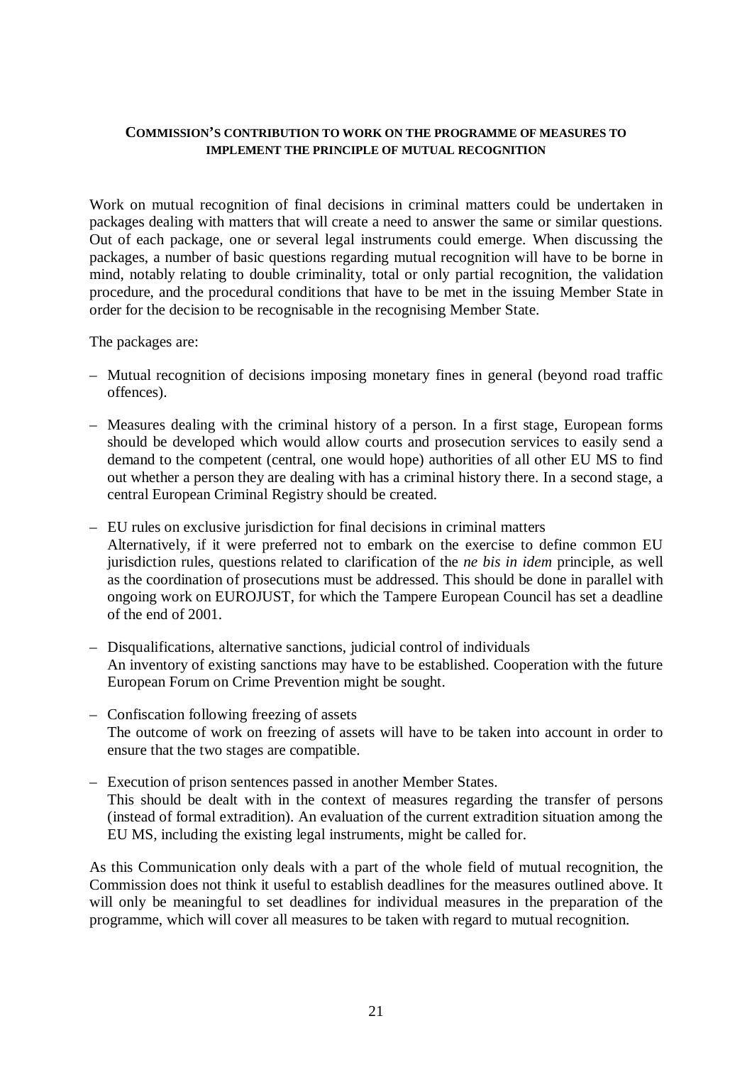#### **COMMISSION'S CONTRIBUTION TO WORK ON THE PROGRAMME OF MEASURES TO IMPLEMENT THE PRINCIPLE OF MUTUAL RECOGNITION**

Work on mutual recognition of final decisions in criminal matters could be undertaken in packages dealing with matters that will create a need to answer the same or similar questions. Out of each package, one or several legal instruments could emerge. When discussing the packages, a number of basic questions regarding mutual recognition will have to be borne in mind, notably relating to double criminality, total or only partial recognition, the validation procedure, and the procedural conditions that have to be met in the issuing Member State in order for the decision to be recognisable in the recognising Member State.

The packages are:

- Mutual recognition of decisions imposing monetary fines in general (beyond road traffic offences).
- Measures dealing with the criminal history of a person. In a first stage, European forms should be developed which would allow courts and prosecution services to easily send a demand to the competent (central, one would hope) authorities of all other EU MS to find out whether a person they are dealing with has a criminal history there. In a second stage, a central European Criminal Registry should be created.
- EU rules on exclusive jurisdiction for final decisions in criminal matters Alternatively, if it were preferred not to embark on the exercise to define common EU jurisdiction rules, questions related to clarification of the *ne bis in idem* principle, as well as the coordination of prosecutions must be addressed. This should be done in parallel with ongoing work on EUROJUST, for which the Tampere European Council has set a deadline of the end of 2001.
- Disqualifications, alternative sanctions, judicial control of individuals An inventory of existing sanctions may have to be established. Cooperation with the future European Forum on Crime Prevention might be sought.
- Confiscation following freezing of assets The outcome of work on freezing of assets will have to be taken into account in order to ensure that the two stages are compatible.
- Execution of prison sentences passed in another Member States. This should be dealt with in the context of measures regarding the transfer of persons (instead of formal extradition). An evaluation of the current extradition situation among the EU MS, including the existing legal instruments, might be called for.

As this Communication only deals with a part of the whole field of mutual recognition, the Commission does not think it useful to establish deadlines for the measures outlined above. It will only be meaningful to set deadlines for individual measures in the preparation of the programme, which will cover all measures to be taken with regard to mutual recognition.